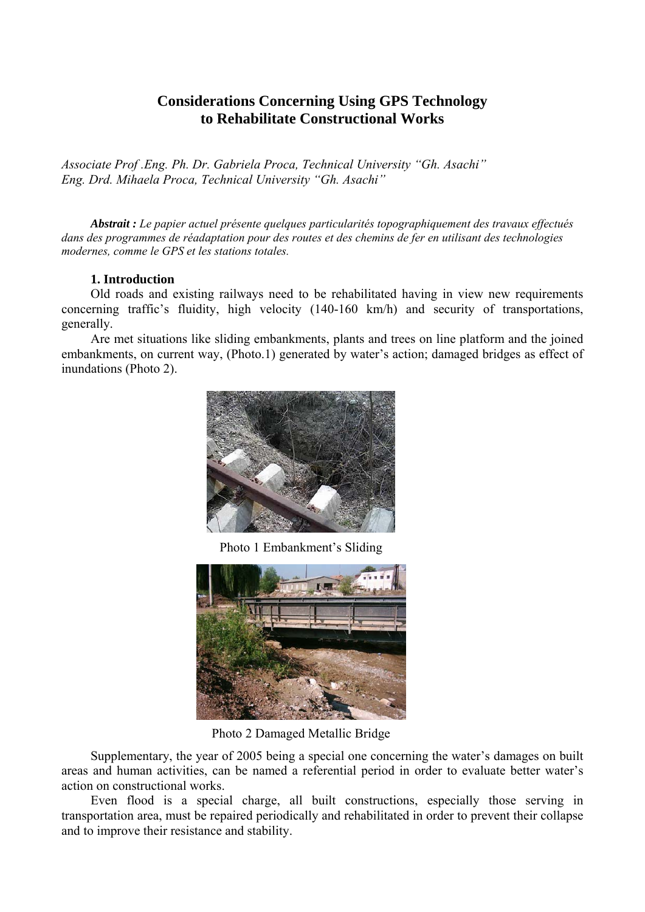# **Considerations Concerning Using GPS Technology to Rehabilitate Constructional Works**

*Associate Prof .Eng. Ph. Dr. Gabriela Proca, Technical University "Gh. Asachi" Eng. Drd. Mihaela Proca, Technical University "Gh. Asachi"* 

*Abstrait : Le papier actuel présente quelques particularités topographiquement des travaux effectués dans des programmes de réadaptation pour des routes et des chemins de fer en utilisant des technologies modernes, comme le GPS et les stations totales.* 

# **1. Introduction**

Old roads and existing railways need to be rehabilitated having in view new requirements concerning traffic's fluidity, high velocity (140-160 km/h) and security of transportations, generally.

Are met situations like sliding embankments, plants and trees on line platform and the joined embankments, on current way, (Photo.1) generated by water's action; damaged bridges as effect of inundations (Photo 2).



Photo 1 Embankment's Sliding



Photo 2 Damaged Metallic Bridge

Supplementary, the year of 2005 being a special one concerning the water's damages on built areas and human activities, can be named a referential period in order to evaluate better water's action on constructional works.

Even flood is a special charge, all built constructions, especially those serving in transportation area, must be repaired periodically and rehabilitated in order to prevent their collapse and to improve their resistance and stability.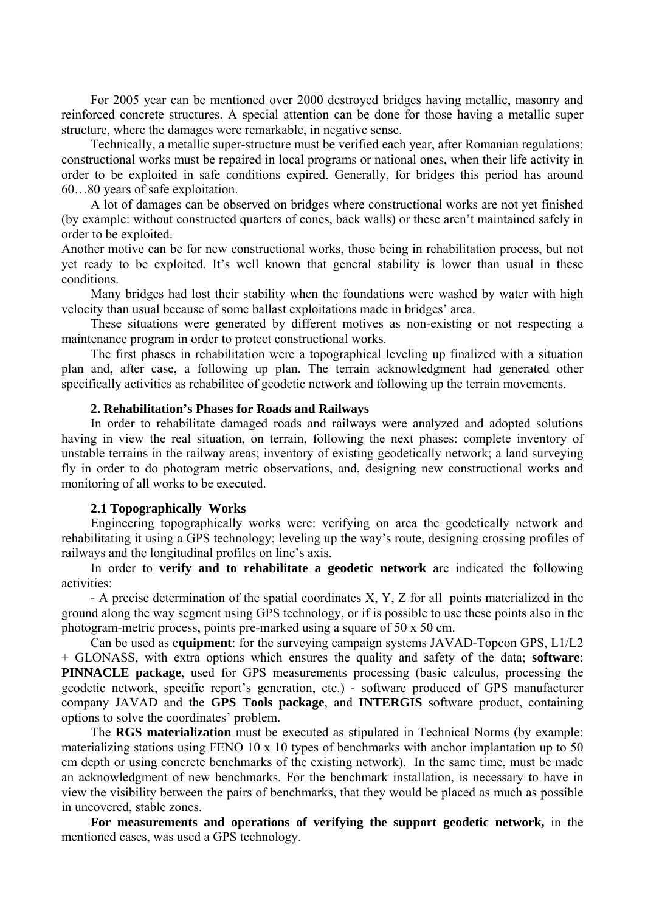For 2005 year can be mentioned over 2000 destroyed bridges having metallic, masonry and reinforced concrete structures. A special attention can be done for those having a metallic super structure, where the damages were remarkable, in negative sense.

Technically, a metallic super-structure must be verified each year, after Romanian regulations; constructional works must be repaired in local programs or national ones, when their life activity in order to be exploited in safe conditions expired. Generally, for bridges this period has around 60…80 years of safe exploitation.

A lot of damages can be observed on bridges where constructional works are not yet finished (by example: without constructed quarters of cones, back walls) or these aren't maintained safely in order to be exploited.

Another motive can be for new constructional works, those being in rehabilitation process, but not yet ready to be exploited. It's well known that general stability is lower than usual in these conditions.

Many bridges had lost their stability when the foundations were washed by water with high velocity than usual because of some ballast exploitations made in bridges' area.

These situations were generated by different motives as non-existing or not respecting a maintenance program in order to protect constructional works.

The first phases in rehabilitation were a topographical leveling up finalized with a situation plan and, after case, a following up plan. The terrain acknowledgment had generated other specifically activities as rehabilitee of geodetic network and following up the terrain movements.

## **2. Rehabilitation's Phases for Roads and Railways**

In order to rehabilitate damaged roads and railways were analyzed and adopted solutions having in view the real situation, on terrain, following the next phases: complete inventory of unstable terrains in the railway areas; inventory of existing geodetically network; a land surveying fly in order to do photogram metric observations, and, designing new constructional works and monitoring of all works to be executed.

## **2.1 Topographically Works**

Engineering topographically works were: verifying on area the geodetically network and rehabilitating it using a GPS technology; leveling up the way's route, designing crossing profiles of railways and the longitudinal profiles on line's axis.

In order to **verify and to rehabilitate a geodetic network** are indicated the following activities:

- A precise determination of the spatial coordinates X, Y, Z for all points materialized in the ground along the way segment using GPS technology, or if is possible to use these points also in the photogram-metric process, points pre-marked using a square of 50 x 50 cm.

Can be used as e**quipment**: for the surveying campaign systems JAVAD-Topcon GPS, L1/L2 + GLONASS, with extra options which ensures the quality and safety of the data; **software**: **PINNACLE package**, used for GPS measurements processing (basic calculus, processing the geodetic network, specific report's generation, etc.) - software produced of GPS manufacturer company JAVAD and the **GPS Tools package**, and **INTERGIS** software product, containing options to solve the coordinates' problem.

The **RGS materialization** must be executed as stipulated in Technical Norms (by example: materializing stations using FENO 10 x 10 types of benchmarks with anchor implantation up to 50 cm depth or using concrete benchmarks of the existing network). In the same time, must be made an acknowledgment of new benchmarks. For the benchmark installation, is necessary to have in view the visibility between the pairs of benchmarks, that they would be placed as much as possible in uncovered, stable zones.

**For measurements and operations of verifying the support geodetic network,** in the mentioned cases, was used a GPS technology.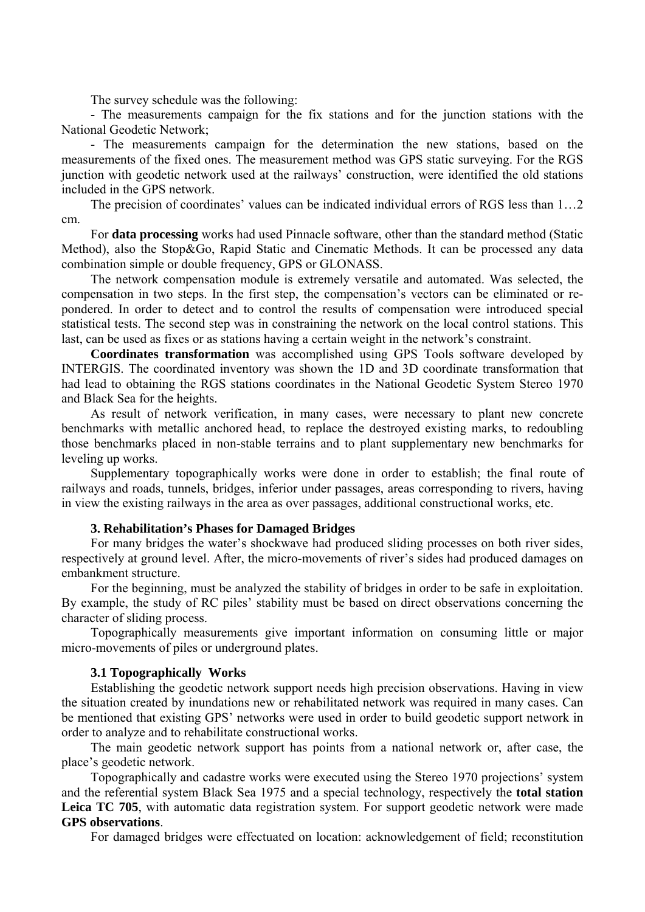The survey schedule was the following:

**-** The measurements campaign for the fix stations and for the junction stations with the National Geodetic Network;

**-** The measurements campaign for the determination the new stations, based on the measurements of the fixed ones. The measurement method was GPS static surveying. For the RGS junction with geodetic network used at the railways' construction, were identified the old stations included in the GPS network.

The precision of coordinates' values can be indicated individual errors of RGS less than 1…2 cm.

For **data processing** works had used Pinnacle software, other than the standard method (Static Method), also the Stop&Go, Rapid Static and Cinematic Methods. It can be processed any data combination simple or double frequency, GPS or GLONASS.

The network compensation module is extremely versatile and automated. Was selected, the compensation in two steps. In the first step, the compensation's vectors can be eliminated or repondered. In order to detect and to control the results of compensation were introduced special statistical tests. The second step was in constraining the network on the local control stations. This last, can be used as fixes or as stations having a certain weight in the network's constraint.

**Coordinates transformation** was accomplished using GPS Tools software developed by INTERGIS. The coordinated inventory was shown the 1D and 3D coordinate transformation that had lead to obtaining the RGS stations coordinates in the National Geodetic System Stereo 1970 and Black Sea for the heights.

As result of network verification, in many cases, were necessary to plant new concrete benchmarks with metallic anchored head, to replace the destroyed existing marks, to redoubling those benchmarks placed in non-stable terrains and to plant supplementary new benchmarks for leveling up works.

Supplementary topographically works were done in order to establish; the final route of railways and roads, tunnels, bridges, inferior under passages, areas corresponding to rivers, having in view the existing railways in the area as over passages, additional constructional works, etc.

## **3. Rehabilitation's Phases for Damaged Bridges**

For many bridges the water's shockwave had produced sliding processes on both river sides, respectively at ground level. After, the micro-movements of river's sides had produced damages on embankment structure.

For the beginning, must be analyzed the stability of bridges in order to be safe in exploitation. By example, the study of RC piles' stability must be based on direct observations concerning the character of sliding process.

Topographically measurements give important information on consuming little or major micro-movements of piles or underground plates.

#### **3.1 Topographically Works**

Establishing the geodetic network support needs high precision observations. Having in view the situation created by inundations new or rehabilitated network was required in many cases. Can be mentioned that existing GPS' networks were used in order to build geodetic support network in order to analyze and to rehabilitate constructional works.

The main geodetic network support has points from a national network or, after case, the place's geodetic network.

Topographically and cadastre works were executed using the Stereo 1970 projections' system and the referential system Black Sea 1975 and a special technology, respectively the **total station**  Leica TC 705, with automatic data registration system. For support geodetic network were made **GPS observations**.

For damaged bridges were effectuated on location: acknowledgement of field; reconstitution